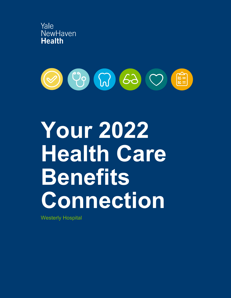



# **Your 2022 Health Care Benefits Connection**

Westerly Hospital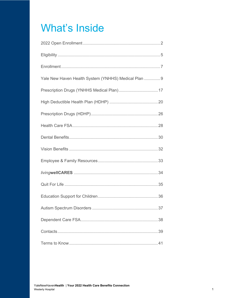# **What's Inside**

| Yale New Haven Health System (YNHHS) Medical Plan  9 |
|------------------------------------------------------|
|                                                      |
|                                                      |
|                                                      |
|                                                      |
|                                                      |
|                                                      |
|                                                      |
|                                                      |
|                                                      |
|                                                      |
|                                                      |
|                                                      |
|                                                      |
|                                                      |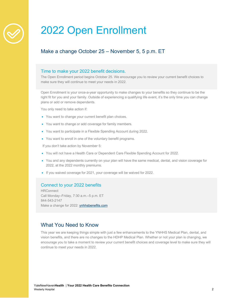

# 2022 Open Enrollment

# Make a change October 25 – November 5, 5 p.m. ET

#### Time to make your 2022 benefit decisions.

The Open Enrollment period begins October 25. We encourage you to review your current benefit choices to make sure they will continue to meet your needs in 2022.

Open Enrollment is your once-a-year opportunity to make changes to your benefits so they continue to be the right fit for you and your family. Outside of experiencing a qualifying life event, it's the only time you can change plans or add or remove dependents.

You only need to take action if:

- You want to change your current benefit plan choices.
- You want to change or add coverage for family members.
- You want to participate in a Flexible Spending Account during 2022.
- You want to enroll in one of the voluntary benefit programs.

If you don't take action by November 5:

- You will not have a Health Care or Dependent Care Flexible Spending Account for 2022.
- You and any dependents currently on your plan will have the same medical, dental, and vision coverage for 2022, at the 2022 monthly premiums.
- If you waived coverage for 2021, your coverage will be waived for 2022.

#### Connect to your 2022 benefits

**HRConnect** Call Monday–Friday, 7:30 a.m.–5 p.m. ET 844-543-2147 Make a change for 2022: ynhhsbenefits.com

### What You Need to Know

This year we are keeping things simple with just a few enhancements to the YNHHS Medical Plan, dental, and vision benefits, and there are no changes to the HDHP Medical Plan. Whether or not your plan is changing, we encourage you to take a moment to review your current benefit choices and coverage level to make sure they will continue to meet your needs in 2022.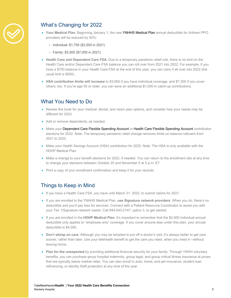

# What's Changing for 2022

- **Your Medical Plan.** Beginning January 1, the new YNHHS Medical Plan annual deductible for Anthem PPO providers will be reduced by 50%:
	- Individual: \$1,750 (\$3,500 in 2021)
	- Family: \$3,500 (\$7,000 in 2021)
- **Health Care and Dependent Care FSA.** Due to a temporary pandemic relief rule, there is no limit on the Health Care and/or Dependent Care FSA balance you can roll over from 2021 into 2022. For example, if you have a \$700 balance in your Health Care FSA at the end of this year, you can carry it all over into 2022 (the usual limit is \$550).
- **HSA contribution limits will increase** to \$3,650 if you have individual coverage, and \$7,300 if you cover others, too. If you're age 55 or older, you can save an additional \$1,000 in catch-up contributions.

### What You Need to Do

- Review this book for your medical, dental, and vision plan options, and consider how your needs may be different for 2022.
- Add or remove dependents, as needed.
- Make your Dependent Care Flexible Spending Account or Health Care Flexible Spending Account contribution elections for 2022. Note: The temporary pandemic relief change removes limits on balance rollovers from 2021 to 2022.
- Make your Health Savings Account (HSA) contribution for 2022. Note: The HSA is only available with the HDHP Medical Plan.
- Make a change to your benefit elections for 2022, if needed. You can return to the enrollment site at any time to change your elections between October 25 and November 5 at 5 p.m. ET.
- Print a copy of your enrollment confirmation and keep it for your records.

## Things to Keep in Mind

- If you have a Health Care FSA, you have until March 31, 2022, to submit claims for 2021.
- If you are enrolled in the YNHHS Medical Plan, **use Signature network providers**. When you do, there's no deductible and you'll pay less for services. Connect with a Patient Resource Coordinator to assist you with your Tier 1/Signature network needs. Call 844-543-2147, option 3, to get started.
- If you are enrolled in the **HDHP Medical Plan**, it's important to remember that the \$2,000 individual annual deductible only applies to "employee only" coverage. If you cover anyone else under this plan, your annual deductible is \$4,000.
- **Don't skimp on care.** Although you may be tempted to put off a doctor's visit, it's always better to get care sooner, rather than later. Use your telehealth benefit to get the care you need, when you need it—without leaving home.
- **Plan for the unexpected** by providing additional financial security for your family. Through YNHH voluntary benefits, you can purchase group hospital indemnity, group legal, and group critical illness insurance at prices that are typically below market rates. You can also enroll in auto, home, and pet insurance, student loan refinancing, or identity theft protection at any time of the year.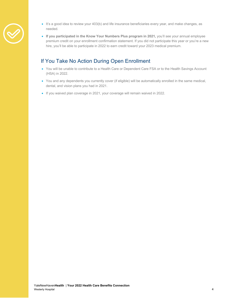- 
- It's a good idea to review your 403(b) and life insurance beneficiaries every year, and make changes, as needed.
- **If you participated in the Know Your Numbers Plus program in 2021,** you'll see your annual employee premium credit on your enrollment confirmation statement. If you did not participate this year or you're a new hire, you'll be able to participate in 2022 to earn credit toward your 2023 medical premium.

# If You Take No Action During Open Enrollment

- You will be unable to contribute to a Health Care or Dependent Care FSA or to the Health Savings Account (HSA) in 2022.
- You and any dependents you currently cover (if eligible) will be automatically enrolled in the same medical, dental, and vision plans you had in 2021.
- If you waived plan coverage in 2021, your coverage will remain waived in 2022.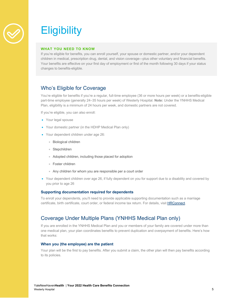

# **Eligibility**

#### **WHAT YOU NEED TO KNOW**

If you're eligible for benefits, you can enroll yourself, your spouse or domestic partner, and/or your dependent children in medical, prescription drug, dental, and vision coverage—plus other voluntary and financial benefits. Your benefits are effective on your first day of employment or first of the month following 30 days if your status changes to benefits-eligible.

# Who's Eligible for Coverage

You're eligible for benefits if you're a regular, full-time employee (36 or more hours per week) or a benefits-eligible part-time employee (generally 24–35 hours per week) of Westerly Hospital. **Note:** Under the YNHHS Medical Plan, eligibility is a minimum of 24 hours per week, and domestic partners are not covered.

If you're eligible, you can also enroll:

- Your legal spouse
- Your domestic partner (in the HDHP Medical Plan only)
- Your dependent children under age 26:
	- Biological children
	- Stepchildren
	- Adopted children, including those placed for adoption
	- Foster children
	- Any children for whom you are responsible per a court order
- Your dependent children over age 26, if fully dependent on you for support due to a disability and covered by you prior to age 26

#### **Supporting documentation required for dependents**

To enroll your dependents, you'll need to provide applicable supporting documentation such as a marriage certificate, birth certificate, court order, or federal income tax return. For details, visit HRConnect.

## Coverage Under Multiple Plans (YNHHS Medical Plan only)

If you are enrolled in the YNHHS Medical Plan and you or members of your family are covered under more than one medical plan, your plan coordinates benefits to prevent duplication and overpayment of benefits. Here's how that works:

#### **When you (the employee) are the patient**

Your plan will be the first to pay benefits. After you submit a claim, the other plan will then pay benefits according to its policies.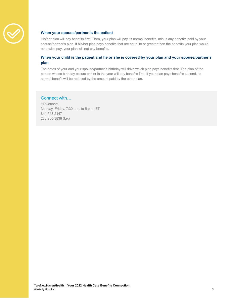

#### **When your spouse/partner is the patient**

His/her plan will pay benefits first. Then, your plan will pay its normal benefits, minus any benefits paid by your spouse/partner's plan. If his/her plan pays benefits that are equal to or greater than the benefits your plan would otherwise pay, your plan will not pay benefits.

#### **When your child is the patient and he or she is covered by your plan and your spouse/partner's plan**

The dates of your and your spouse/partner's birthday will drive which plan pays benefits first. The plan of the person whose birthday occurs earlier in the year will pay benefits first. If your plan pays benefits second, its normal benefit will be reduced by the amount paid by the other plan.

### Connect with…

**HRConnect** Monday–Friday, 7:30 a.m. to 5 p.m. ET 844-543-2147 203-200-3838 (fax)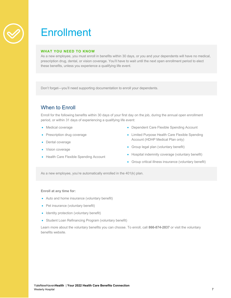

# **Enrollment**

#### **WHAT YOU NEED TO KNOW**

As a new employee, you must enroll in benefits within 30 days, or you and your dependents will have no medical, prescription drug, dental, or vision coverage. You'll have to wait until the next open enrollment period to elect these benefits, unless you experience a qualifying life event.

Don't forget—you'll need supporting documentation to enroll your dependents.

# When to Enroll

Enroll for the following benefits within 30 days of your first day on the job, during the annual open enrollment period, or within 31 days of experiencing a qualifying life event:

- Medical coverage
- Prescription drug coverage
- Dental coverage
- Vision coverage
- Health Care Flexible Spending Account
- Dependent Care Flexible Spending Account
- Limited Purpose Health Care Flexible Spending Account (HDHP Medical Plan only)
- Group legal plan (voluntary benefit)
- Hospital indemnity coverage (voluntary benefit)
- Group critical illness insurance (voluntary benefit)

As a new employee, you're automatically enrolled in the 401(k) plan.

#### **Enroll at any time for:**

- Auto and home insurance (voluntary benefit)
- Pet insurance (voluntary benefit)
- Identity protection (voluntary benefit)
- Student Loan Refinancing Program (voluntary benefit)

Learn more about the voluntary benefits you can choose. To enroll, call **866-874-2837** or visit the voluntary benefits website.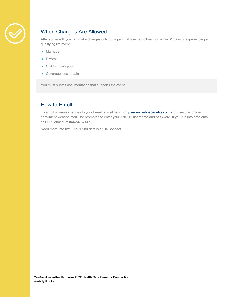

# When Changes Are Allowed

After you enroll, you can make changes only during annual open enrollment or within 31 days of experiencing a qualifying life event:

- Marriage
- Divorce
- Childbirth/adoption
- Coverage loss or gain

You must submit documentation that supports the event.

# How to Enroll

To enroll or make changes to your benefits, visit bswift (http://www.ynhhsbenefits.com/), our secure, online enrollment website. You'll be prompted to enter your YNHHS username and password. If you run into problems, call HRConnect at **844-543-2147**.

Need more info first? You'll find details at HRConnect.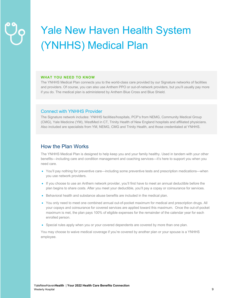# Yale New Haven Health System (YNHHS) Medical Plan

#### **WHAT YOU NEED TO KNOW**

The YNHHS Medical Plan connects you to the world-class care provided by our Signature networks of facilities and providers. Of course, you can also use Anthem PPO or out-of-network providers, but you'll usually pay more if you do. The medical plan is administered by Anthem Blue Cross and Blue Shield.

#### Connect with YNHHS Provider

The Signature network includes: YNHHS facilities/hospitals, PCP's from NEMG, Community Medical Group (CMG), Yale Medicine (YM), WestMed in CT, Trinity Health of New England hospitals and affiliated physicians. Also included are specialists from YM, NEMG, CMG and Trinity Health, and those credentialed at YNHHS.

### How the Plan Works

The YNHHS Medical Plan is designed to help keep you and your family healthy. Used in tandem with your other benefits—including care and condition management and coaching services—it's here to support you when you need care.

- You'll pay nothing for preventive care—including some preventive tests and prescription medications—when you use network providers.
- If you choose to use an Anthem network provider, you'll first have to meet an annual deductible before the plan begins to share costs. After you meet your deductible, you'll pay a copay or coinsurance for services.
- Behavioral health and substance abuse benefits are included in the medical plan.
- You only need to meet one combined annual out-of-pocket maximum for medical and prescription drugs. All your copays and coinsurance for covered services are applied toward this maximum. Once the out-of-pocket maximum is met, the plan pays 100% of eligible expenses for the remainder of the calendar year for each enrolled person.
- Special rules apply when you or your covered dependents are covered by more than one plan.

You may choose to waive medical coverage if you're covered by another plan or your spouse is a YNHHS employee.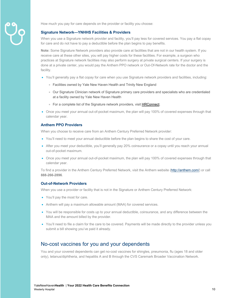

How much you pay for care depends on the provider or facility you choose:

#### **Signature Network—YNHHS Facilities & Providers**

When you use a Signature network provider and facility, you'll pay less for covered services. You pay a flat copay for care and do not have to pay a deductible before the plan begins to pay benefits.

**Note:** Some Signature Network providers also provide care at facilities that are not in our health system. If you receive care at these other sites, you will pay higher costs for these facilities. For example, a surgeon who practices at Signature network facilities may also perform surgery at private surgical centers. If your surgery is done at a private center, you would pay the Anthem PPO network or Out-Of-Network rate for the doctor and the facility.

- You'll generally pay a flat copay for care when you use Signature network providers and facilities, including:
	- Facilities owned by Yale New Haven Health and Trinity New England
	- Our Signature Clinician network of Signature primary care providers and specialists who are credentialed at a facility owned by Yale New Haven Health
	- For a complete list of the Signature network providers, visit HRConnect.
- Once you meet your annual out-of-pocket maximum, the plan will pay 100% of covered expenses through that calendar year.

#### **Anthem PPO Providers**

When you choose to receive care from an Anthem Century Preferred Network provider:

- You'll need to meet your annual deductible before the plan begins to share the cost of your care.
- After you meet your deductible, you'll generally pay 20% coinsurance or a copay until you reach your annual out-of-pocket maximum.
- Once you meet your annual out-of-pocket maximum, the plan will pay 100% of covered expenses through that calendar year.

To find a provider in the Anthem Century Preferred Network, visit the Anthem website (http://anthem.com/) or call **888-266-2896**.

#### **Out-of-Network Providers**

When you use a provider or facility that is not in the Signature or Anthem Century Preferred Network:

- You'll pay the most for care.
- Anthem will pay a maximum allowable amount (MAA) for covered services.
- You will be responsible for costs up to your annual deductible, coinsurance, and any difference between the MAA and the amount billed by the provider.
- You'll need to file a claim for the care to be covered. Payments will be made directly to the provider unless you submit a bill showing you've paid it already.

#### No-cost vaccines for you and your dependents

You and your covered dependents can get no-cost vaccines for shingles, pneumonia, flu (ages 18 and older only), tetanus/diphtheria, and hepatitis A and B through the CVS Caremark Broader Vaccination Network.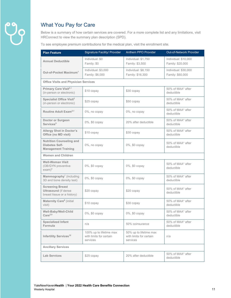

l.

# What You Pay for Care

Below is a summary of how certain services are covered. For a more complete list and any limitations, visit HRConnect to view the summary plan description (SPD).

To see employee premium contributions for the medical plan, visit the enrollment site.

| <b>Plan Feature</b>                                                                   | Signature Facility/ Provider                                   | Anthem PPO Provider                                           | Out-of-Network Provider                  |
|---------------------------------------------------------------------------------------|----------------------------------------------------------------|---------------------------------------------------------------|------------------------------------------|
| <b>Annual Deductible</b>                                                              | Individual: \$0<br>Family: \$0                                 | Individual: \$1,750<br>Family: \$3,500                        | Individual: \$10,000<br>Family: \$20,000 |
| Out-of-Pocket Maximum <sup>1</sup>                                                    | Individual: \$3,000<br>Family: \$6,000                         | Individual: \$8,150<br>Family: \$16,300                       | Individual: \$30,000<br>Family: \$60,000 |
| <b>Office Visits and Physician Services</b>                                           |                                                                |                                                               |                                          |
| Primary Care Visit <sup>2,3</sup><br>(in-person or electronic)                        | \$10 copay                                                     | \$30 copay                                                    | 50% of MAA* after<br>deductible          |
| Specialist Office Visit <sup>2</sup><br>(in-person or electronic)                     | $$25$ copay                                                    | \$50 copay                                                    | 50% of MAA* after<br>deductible          |
| Routine Adult Exam <sup>2,4</sup>                                                     | 0%, no copay                                                   | 0%, no copay                                                  | 50% of MAA* after<br>deductible          |
| <b>Doctor or Surgeon</b><br>Services <sup>5</sup>                                     | 0%, \$0 copay                                                  | 20% after deductible                                          | 50% of MAA* after<br>deductible          |
| <b>Allergy Shot in Doctor's</b><br>Office (no MD visit)                               | \$10 copay                                                     | \$30 copay                                                    | 50% of MAA* after<br>deductible          |
| <b>Nutrition Counseling and</b><br>Diabetes Self-<br><b>Management Training</b>       | 0%, no copay                                                   | 0%, \$0 copay                                                 | 50% of MAA* after<br>deductible          |
| <b>Women and Children</b>                                                             |                                                                |                                                               |                                          |
| <b>Well-Woman Visit</b><br>(OB/GYN preventive<br>$exam)$ <sup>6</sup>                 | 0%, \$0 copay                                                  | 0%, \$0 copay                                                 | 50% of MAA* after<br>deductible          |
| Mammography <sup>7</sup> (including<br>3D and bone density test)                      | 0%, \$0 copay                                                  | 0%, \$0 copay                                                 | 50% of MAA* after<br>deductible          |
| <b>Screening Breast</b><br><b>Ultrasound</b> (if dense<br>breast tissue or a history) | \$20 copay                                                     | \$20 copay                                                    | 50% of MAA* after<br>deductible          |
| Maternity Care <sup>8</sup> (initial<br>visit)                                        | \$10 copay                                                     | \$30 copay                                                    | 50% of MAA* after<br>deductible          |
| Well-Baby/Well-Child<br>Care <sup>2,9</sup>                                           | 0%, \$0 copay                                                  | 0%, \$0 copay                                                 | 50% of MAA* after<br>deductible          |
| <b>Specialized Infant</b><br>Formula                                                  | n/a                                                            | 50% coinsurance                                               | 50% of MAA* after<br>deductible          |
| Infertility Services <sup>10</sup>                                                    | 100% up to lifetime max<br>with limits for certain<br>services | 50% up to lifetime max<br>with limits for certain<br>services | n/a                                      |
| <b>Ancillary Services</b>                                                             |                                                                |                                                               |                                          |
| <b>Lab Services</b>                                                                   | \$25 copay                                                     | 20% after deductible                                          | 50% of MAA* after<br>deductible          |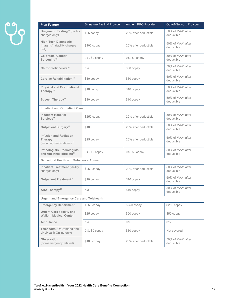| <b>Plan Feature</b>                                                               | Signature Facility/ Provider | Anthem PPO Provider  | Out-of-Network Provider         |
|-----------------------------------------------------------------------------------|------------------------------|----------------------|---------------------------------|
| <b>Diagnostic Testing<sup>11</sup></b> (facility<br>charges only)                 | \$25 copay                   | 20% after deductible | 50% of MAA* after<br>deductible |
| <b>High-Tech Diagnostic</b><br>Imaging <sup>12</sup> (facility charges<br>only)   | $$100$ copay                 | 20% after deductible | 50% of MAA* after<br>deductible |
| <b>Colorectal Cancer</b><br>Screening <sup>13</sup>                               | 0%, \$0 copay                | 0%, \$0 copay        | 50% of MAA* after<br>deductible |
| <b>Chiropractic Visits<sup>14</sup></b>                                           | n/a                          | \$30 copay           | 50% of MAA* after<br>deductible |
| <b>Cardiac Rehabilitation<sup>14</sup></b>                                        | \$10 copay                   | \$30 copay           | 50% of MAA* after<br>deductible |
| <b>Physical and Occupational</b><br>Therapy $14$                                  | \$10 copay                   | \$10 copay           | 50% of MAA* after<br>deductible |
| Speech Therapy <sup>14</sup>                                                      | \$10 copay                   | \$10 copay           | 50% of MAA* after<br>deductible |
| <b>Inpatient and Outpatient Care</b>                                              |                              |                      |                                 |
| <b>Inpatient Hospital</b><br>Services <sup>15</sup>                               | \$250 copay                  | 20% after deductible | 50% of MAA* after<br>deductible |
| Outpatient Surgery <sup>16</sup>                                                  | \$100                        | 20% after deductible | 50% of MAA* after<br>deductible |
| <b>Infusion and Radiation</b><br>Therapy<br>(including medications) <sup>17</sup> | \$25 copay                   | 20% after deductible | 50% of MAA* after<br>deductible |
| Pathologists, Radiologists,<br>and Anesthesiologists <sup>17</sup>                | 0%, \$0 copay                | 0%, \$0 copay        | 50% of MAA* after<br>deductible |
| <b>Behavioral Health and Substance Abuse</b>                                      |                              |                      |                                 |
| <b>Inpatient Treatment (facility</b><br>charges only)                             | $$250$ copay                 | 20% after deductible | 50% of MAA* after<br>deductible |
| Outpatient Treatment <sup>18</sup>                                                | \$10 copay                   | \$10 copay           | 50% of MAA* after<br>deductible |
| <b>ABA Therapy<sup>19</sup></b>                                                   | n/a                          | \$10 copay           | 50% of MAA* after<br>deductible |
| <b>Urgent and Emergency Care and Telehealth</b>                                   |                              |                      |                                 |
| <b>Emergency Department</b>                                                       | $$250$ copay                 | $$250$ copay         | $$250$ copay                    |
| <b>Urgent Care Facility and</b><br><b>Walk-In Medical Center</b>                  | \$25 copay                   | $$50$ copay          | $$50$ copay                     |
| <b>Ambulance</b>                                                                  | n/a                          | $0\%$                | $0\%$                           |
| Telehealth (OnDemand and<br>LiveHealth Online only)                               | $0\%$ , \$0 copay            | \$30 copay           | Not covered                     |
| <b>Observation</b><br>(non-emergency related)                                     | \$100 copay                  | 20% after deductible | 50% of MAA* after<br>deductible |
|                                                                                   |                              |                      |                                 |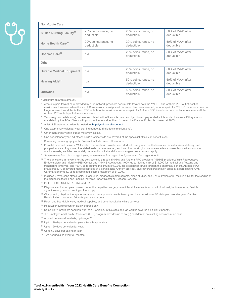| <b>Non-Acute Care</b>                  |                                   |                                   |                                 |
|----------------------------------------|-----------------------------------|-----------------------------------|---------------------------------|
| Skilled Nursing Facility <sup>20</sup> | 20% coinsurance, no<br>deductible | 20% coinsurance, no<br>deductible | 50% of MAA* after<br>deductible |
| Home Health Care <sup>21</sup>         | 20% coinsurance, no<br>deductible | 20% coinsurance, no<br>deductible | 50% of MAA* after<br>deductible |
| Hospice Care <sup>22</sup>             | n/a                               | 20% coinsurance, no<br>deductible | 50% of MAA* after<br>deductible |
| Other                                  |                                   |                                   |                                 |
| <b>Durable Medical Equipment</b>       | n/a                               | 20% coinsurance, no<br>deductible | 50% of MAA* after<br>deductible |
| Hearing Aids <sup>23</sup>             | n/a                               | 50% coinsurance, no<br>deductible | 50% of MAA* after<br>deductible |
| <b>Orthotics</b>                       | n/a                               | 50% coinsurance, no<br>deductible | 50% of MAA* after<br>deductible |

\* Maximum allowable amount.

<sup>1</sup> Amounts paid toward care provided by all in-network providers accumulate toward both the YNHHS and Anthem PPO out-of-pocket maximums. However, when the YNHHS in-network out-of-pocket maximum has been reached, amounts paid for YNHHS in-network care no longer accrue toward the Anthem PPO out-of-pocket maximum. Amounts paid for Anthem PPO in-network care continue to accrue until the Anthem PPO out-of-pocket maximum is met.

 $2$  Tests (e.g., some lab work) that are associated with office visits may be subject to a copay or deductible and coinsurance if they are not mandated by the ACA. Check with your provider or call Anthem to determine if a specific test is covered at 100%.

- <sup>3</sup> A list of Signature providers is posted to: http://ynhhs.org/hrconnect
- <sup>4</sup> One exam every calendar year starting at age 22 (includes immunizations).
- 5 Other than office visit; includes maternity claims.
- <sup>6</sup> One per calendar year. All other OB/GYN office visits are covered at the specialist office visit benefit level.
- Screening mammography only. Does not include breast ultrasounds.
- <sup>8</sup> Prenatal care and delivery. Well visits to the obstetric provider are billed with one global fee that includes trimester visits, delivery, and postpartum care. Any maternity-related tests that are needed, such as blood work, glucose tolerance tests, stress tests, ultrasounds, or amniocentesis, are billed separately. Inpatient hospital and doctor or surgeon services also apply.
- Seven exams from birth to age 1 year; seven exams from ages 1 to 5; one exam from ages 6 to 21.
- <sup>10</sup> The plan covers in-network fertility services only through YNHHS and Anthem PPO providers. YNHHS providers: Yale Reproductive Endocrinology and Infertility (REI) Center and YNHHS Apothecary. 100% up to lifetime max of \$14,000 for medical and freezing and transferring embryos, and 100% up to lifetime maximum of \$2,000 for prescription drugs through the pharmacy benefit. Anthem PPO providers: 50% of covered medical services at a participating Anthem provider, plus covered prescription drugs at a participating CVS Caremark pharmacy, up to a combined lifetime maximum of \$10,000.

11 Includes x-rays, echo stress tests, ultrasounds, diagnostic mammograms, sleep studies, and EKGs. Patients will receive a bill for the reading of the diagnostic testing and imaging (covered under "Doctor or Surgeon Services").

- 12 PET, SPECT, MRI, MRA, CTA, and CAT.
- <sup>13</sup> Diagnostic colonoscopies covered under the outpatient surgery benefit level. Includes fecal occult blood test, barium enema, flexible sigmoidoscopy, and screening colonoscopy.
- 14 Chiropractic, physical therapy, occupational therapy, and speech therapy combined maximum: 50 visits per calendar year. Cardiac Rehabilitation maximum: 36 visits per calendar year.
- <sup>15</sup> Room and board, lab work, medical supplies, and other hospital ancillary services.
- <sup>16</sup> Hospital or surgical center facility charges only.
- <sup>17</sup> Some Tier 1 providers send lab work to a Tier 2 lab. In this case, the lab work is covered as a Tier 2 benefit.
- 18 The Employee and Family Resources (EFR) program provides up to six (6) confidential counseling sessions at no cost.
- <sup>19</sup> Applied behavioral analysis, up to age 21.
- <sup>20</sup> Up to 120 days per calendar year after a hospital stay.
- <sup>21</sup> Up to 120 days per calendar year.
- <sup>22</sup> Up to 60 days per calendar year.
- <sup>23</sup> Two hearing aids every 36 months.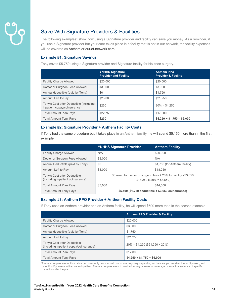# Save With Signature Providers & Facilities

The following examples\* show how using a Signature provider and facility can save you money. As a reminder, if you use a Signature provider but your care takes place in a facility that is not in our network, the facility expenses will be covered as Anthem or out-of-network care.

#### **Example #1: Signature Savings**

Tony saves \$5,750 using a Signature provider and Signature facility for his knee surgery.

|                                                                         | <b>YNHHS Signature</b><br><b>Provider and Facility</b> | <b>Anthem PPO</b><br><b>Provider &amp; Facility</b> |
|-------------------------------------------------------------------------|--------------------------------------------------------|-----------------------------------------------------|
| <b>Facility Charge Allowed</b>                                          | \$20,000                                               | \$20,000                                            |
| Doctor or Surgeon Fees Allowed                                          | \$3,000                                                | \$3,000                                             |
| Annual deductible (paid by Tony)                                        | \$0                                                    | \$1.750                                             |
| Amount Left to Pay                                                      | \$23,000                                               | \$21.250                                            |
| Tony's Cost after Deductible (including<br>inpatient copay/coinsurance) | \$250                                                  | $20\% = $4.250$                                     |
| <b>Total Amount Plan Pays</b>                                           | \$22,750                                               | \$17,000                                            |
| <b>Total Amount Tony Pays</b>                                           | \$250                                                  | $$4,250 + $1,750 = $6,000$                          |

#### **Example #2: Signature Provider + Anthem Facility Costs**

If Tony had the same procedure but it takes place in an Anthem facility, he will spend \$5,150 more than in the first example.

|                                                                   | <b>YNHHS Signature Provider</b>                                                                       | <b>Anthem Facility</b>        |
|-------------------------------------------------------------------|-------------------------------------------------------------------------------------------------------|-------------------------------|
| <b>Facility Charge Allowed</b>                                    | N/A                                                                                                   | \$20,000                      |
| Doctor or Surgeon Fees Allowed                                    | \$3,000                                                                                               | N/A                           |
| Annual Deductible (paid by Tony)                                  | \$0                                                                                                   | \$1,750 (for Anthem facility) |
| Amount Left to Pay                                                | \$3,000                                                                                               | \$18,250                      |
| Tony's Cost after Deductible<br>(including inpatient coinsurance) | \$0 owed for doctor or surgeon fees $+20\%$ for facility =\$3,650<br>$($18,250 \times 20\% = $3,650)$ |                               |
| <b>Total Amount Plan Pays</b>                                     | \$3,000                                                                                               | \$14,600                      |
| <b>Total Amount Tony Pays</b>                                     | \$5,400 (\$1,750 deductible + \$3,650 coinsurance)                                                    |                               |

#### **Example #3: Anthem PPO Provider + Anthem Facility Costs**

If Tony uses an Anthem provider and an Anthem facility, he will spend \$600 more than in the second example.

|                                                                         | <b>Anthem PPO Provider &amp; Facility</b> |
|-------------------------------------------------------------------------|-------------------------------------------|
| <b>Facility Charge Allowed</b>                                          | \$20,000                                  |
| Doctor or Surgeon Fees Allowed                                          | \$3,000                                   |
| Annual deductible (paid by Tony)                                        | \$1,750                                   |
| Amount Left to Pay                                                      | \$21,250                                  |
| Tony's Cost after Deductible<br>(including inpatient copay/coinsurance) | $20\% = $4,250 ($21,250 \times 20\%)$     |
| <b>Total Amount Plan Pays</b>                                           | \$17,000                                  |
| <b>Total Amount Tony Pays</b>                                           | $$4,250 + $1,750 = $6,000$                |

\*These examples are for illustrative purposes only. Your actual cost share may vary depending on the care you receive, the facility used, and specifics if you're admitted as an inpatient. These examples are not provided as a guarantee of coverage or an actual estimate of specific benefits under the plan.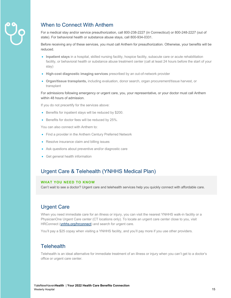

# When to Connect With Anthem

For a medical stay and/or service preauthorization, call 800-238-2227 (in Connecticut) or 800-248-2227 (out of state). For behavioral health or substance abuse stays, call 800-934-0331.

Before receiving any of these services, you must call Anthem for preauthorization. Otherwise, your benefits will be reduced.

- **Inpatient stays** in a hospital, skilled nursing facility, hospice facility, subacute care or acute rehabilitation facility, or behavioral health or substance abuse treatment center (call at least 24 hours before the start of your stay)
- **High-cost diagnostic imaging services** prescribed by an out-of-network provider
- **Organ/tissue transplants,** including evaluation, donor search, organ procurement/tissue harvest, or transplant

For admissions following emergency or urgent care, you, your representative, or your doctor must call Anthem within 48 hours of admission.

If you do not precertify for the services above:

- Benefits for inpatient stays will be reduced by \$200.
- Benefits for doctor fees will be reduced by 25%.

You can also connect with Anthem to:

- Find a provider in the Anthem Century Preferred Network
- Resolve insurance claim and billing issues
- Ask questions about preventive and/or diagnostic care
- Get general health information

### Urgent Care & Telehealth (YNHHS Medical Plan)

#### **WHAT YOU NEED TO KNOW**

Can't wait to see a doctor? Urgent care and telehealth services help you quickly connect with affordable care.

## Urgent Care

When you need immediate care for an illness or injury, you can visit the nearest YNHHS walk-in facility or a PhysicianOne Urgent Care center (CT locations only). To locate an urgent care center close to you, visit HRConnect (ynhhs.org/hrconnect) and search for urgent care.

You'll pay a \$25 copay when visiting a YNHHS facility, and you'll pay more if you use other providers.

### **Telehealth**

Telehealth is an ideal alternative for immediate treatment of an illness or injury when you can't get to a doctor's office or urgent care center.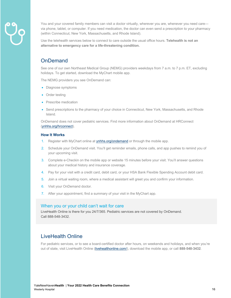

You and your covered family members can visit a doctor virtually, wherever you are, whenever you need care via phone, tablet, or computer. If you need medication, the doctor can even send a prescription to your pharmacy (within Connecticut, New York, Massachusetts, and Rhode Island).

Use the telehealth services below to connect to care outside the usual office hours. **Telehealth is not an alternative to emergency care for a life-threatening condition.** 

## **OnDemand**

See one of our own Northeast Medical Group (NEMG) providers weekdays from 7 a.m. to 7 p.m. ET, excluding holidays. To get started, download the MyChart mobile app.

The NEMG providers you see OnDemand can:

- Diagnose symptoms
- Order testing
- Prescribe medication
- Send prescriptions to the pharmacy of your choice in Connecticut, New York, Massachusetts, and Rhode Island.

OnDemand does not cover pediatric services. Find more information about OnDemand at HRConnect (ynhhs.org/hrconnect).

#### **How It Works**

- 1. Register with MyChart online at ynhhs.org/ondemand or through the mobile app.
- 2. Schedule your OnDemand visit. You'll get reminder emails, phone calls, and app pushes to remind you of your upcoming visit.
- 3. Complete e-Checkin on the mobile app or website 15 minutes before your visit. You'll answer questions about your medical history and insurance coverage.
- 4. Pay for your visit with a credit card, debit card, or your HSA Bank Flexible Spending Account debit card.
- 5. Join a virtual waiting room, where a medical assistant will greet you and confirm your information.
- 6. Visit your OnDemand doctor.
- 7. After your appointment, find a summary of your visit in the MyChart app.

#### When you or your child can't wait for care

LiveHealth Online is there for you 24/7/365. Pediatric services are not covered by OnDemand. Call 888-548-3432.

## LiveHealth Online

For pediatric services, or to see a board-certified doctor after hours, on weekends and holidays, and when you're out of state, visit LiveHealth Online (livehealthonline.com/), download the mobile app, or call **888-548-3432**.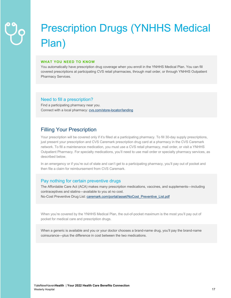# Prescription Drugs (YNHHS Medical Plan)

#### **WHAT YOU NEED TO KNOW**

You automatically have prescription drug coverage when you enroll in the YNHHS Medical Plan. You can fill covered prescriptions at participating CVS retail pharmacies, through mail order, or through YNHHS Outpatient Pharmacy Services.

#### Need to fill a prescription?

Find a participating pharmacy near you. Connect with a local pharmacy: cvs.com/store-locator/landing

# Filling Your Prescription

Your prescription will be covered only if it's filled at a participating pharmacy. To fill 30-day supply prescriptions, just present your prescription and CVS Caremark prescription drug card at a pharmacy in the CVS Caremark network. To fill a maintenance medication, you must use a CVS retail pharmacy, mail order, or visit a YNHHS Outpatient Pharmacy. For specialty medications, you'll need to use mail order or specialty pharmacy services, as described below.

In an emergency or if you're out of state and can't get to a participating pharmacy, you'll pay out of pocket and then file a claim for reimbursement from CVS Caremark.

#### Pay nothing for certain preventive drugs

The Affordable Care Act (ACA) makes many prescription medications, vaccines, and supplements—including contraceptives and statins—available to you at no cost. No-Cost Preventive Drug List: caremark.com/portal/asset/NoCost\_Preventive\_List.pdf

When you're covered by the YNHHS Medical Plan, the out-of-pocket maximum is the most you'll pay out of pocket for medical care and prescription drugs.

When a generic is available and you or your doctor chooses a brand-name drug, you'll pay the brand-name coinsurance—plus the difference in cost between the two medications.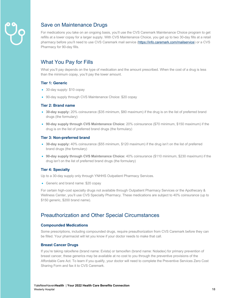

# Save on Maintenance Drugs

For medications you take on an ongoing basis, you'll use the CVS Caremark Maintenance Choice program to get refills at a lower copay for a larger supply. With CVS Maintenance Choice, you get up to two 30-day fills at a retail pharmacy before you'll need to use CVS Caremark mail service (https://info.caremark.com/mailservice) or a CVS Pharmacy for 90-day fills.

# What You Pay for Fills

What you'll pay depends on the type of medication and the amount prescribed. When the cost of a drug is less than the minimum copay, you'll pay the lower amount.

#### **Tier 1: Generic**

- 30-day supply: \$10 copay
- 90-day supply through CVS Maintenance Choice: \$20 copay

#### **Tier 2: Brand name**

- **30-day supply:** 20% coinsurance (\$35 minimum, \$80 maximum) if the drug is on the list of preferred brand drugs (the formulary)
- **90-day supply through CVS Maintenance Choice:** 20% coinsurance (\$70 minimum, \$150 maximum) if the drug is on the list of preferred brand drugs (the formulary)

#### **Tier 3: Non-preferred brand**

- **30-day supply:** 40% coinsurance (\$55 minimum, \$120 maximum) if the drug isn't on the list of preferred brand drugs (the formulary)
- **90-day supply through CVS Maintenance Choice:** 40% coinsurance (\$110 minimum, \$230 maximum) if the drug isn't on the list of preferred brand drugs (the formulary)

#### **Tier 4: Specialty**

Up to a 30-day supply only through YNHHS Outpatient Pharmacy Services.

• Generic and brand name: \$20 copay

For certain high-cost specialty drugs not available through Outpatient Pharmacy Services or the Apothecary & Wellness Center, you'll use CVS Specialty Pharmacy. These medications are subject to 40% coinsurance (up to \$150 generic, \$200 brand name).

## Preauthorization and Other Special Circumstances

#### **Compounded Medications**

Some prescriptions, including compounded drugs, require preauthorization from CVS Caremark before they can be filled. Your pharmacist will let you know if your doctor needs to make that call.

#### **Breast Cancer Drugs**

If you're taking raloxifene (brand name: Evista) or tamoxifen (brand name: Noladex) for primary prevention of breast cancer, these generics may be available at no cost to you through the preventive provisions of the Affordable Care Act. To learn if you qualify, your doctor will need to complete the Preventive Services Zero Cost Sharing Form and fax it to CVS Caremark.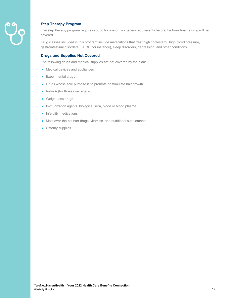

#### **Step Therapy Program**

The step therapy program requires you to try one or two generic equivalents before the brand-name drug will be covered.

Drug classes included in this program include medications that treat high cholesterol, high blood pressure, gastrointestinal disorders (GERD, for instance), sleep disorders, depression, and other conditions.

#### **Drugs and Supplies Not Covered**

The following drugs and medical supplies are not covered by the plan:

- Medical devices and appliances
- Experimental drugs
- Drugs whose sole purpose is to promote or stimulate hair growth
- Retin A (for those over age 28)
- Weight-loss drugs
- Immunization agents, biological sera, blood or blood plasma
- Infertility medications
- Most over-the-counter drugs, vitamins, and nutritional supplements
- Ostomy supplies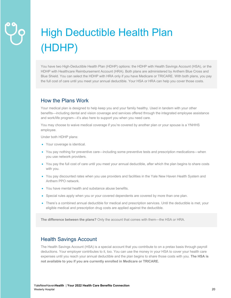# High Deductible Health Plan (HDHP)

You have two High-Deductible Health Plan (HDHP) options: the HDHP with Health Savings Account (HSA), or the HDHP with Healthcare Reimbursement Account (HRA). Both plans are administered by Anthem Blue Cross and Blue Shield. You can select the HDHP with HRA only if you have Medicare or TRICARE. With both plans, you pay the full cost of care until you meet your annual deductible. Your HSA or HRA can help you cover those costs.

# How the Plans Work

Your medical plan is designed to help keep you and your family healthy. Used in tandem with your other benefits—including dental and vision coverage and services offered through the integrated employee assistance and work/life program—it's also here to support you when you need care.

You may choose to waive medical coverage if you're covered by another plan or your spouse is a YNHHS employee.

Under both HDHP plans:

- Your coverage is identical.
- You pay nothing for preventive care—including some preventive tests and prescription medications—when you use network providers.
- You pay the full cost of care until you meet your annual deductible, after which the plan begins to share costs with you.
- You pay discounted rates when you use providers and facilities in the Yale New Haven Health System and Anthem PPO network.
- You have mental health and substance abuse benefits.
- Special rules apply when you or your covered dependents are covered by more than one plan.
- There's a combined annual deductible for medical and prescription services. Until the deductible is met, your eligible medical and prescription drug costs are applied against the deductible.

**The difference between the plans?** Only the account that comes with them—the HSA or HRA.

### Health Savings Account

The Health Savings Account (HSA) is a special account that you contribute to on a pretax basis through payroll deductions. Your employer contributes to it, too. You can use the money in your HSA to cover your health care expenses until you reach your annual deductible and the plan begins to share those costs with you. **The HSA is not available to you if you are currently enrolled in Medicare or TRICARE.**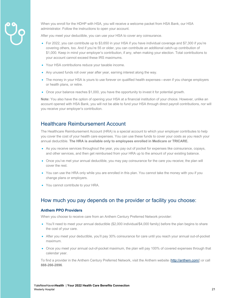

When you enroll for the HDHP with HSA, you will receive a welcome packet from HSA Bank, our HSA administrator. Follow the instructions to open your account.

After you meet your deductible, you can use your HSA to cover any coinsurance.

- For 2022, you can contribute up to \$3,650 in your HSA if you have individual coverage and \$7,300 if you're covering others, too. And if you're 55 or older, you can contribute an additional catch-up contribution of \$1,000. Keep in mind your employer's contribution, if any, when making your election. Total contributions to your account cannot exceed these IRS maximums.
- Your HSA contributions reduce your taxable income.
- Any unused funds roll over year after year, earning interest along the way.
- The money in your HSA is yours to use forever on qualified health expenses—even if you change employers or health plans, or retire.
- Once your balance reaches \$1,000, you have the opportunity to invest it for potential growth.

**Note:** You also have the option of opening your HSA at a financial institution of your choice. However, unlike an account opened with HSA Bank, you will not be able to fund your HSA through direct payroll contributions, nor will you receive your employer's contribution.

# Healthcare Reimbursement Account

The Healthcare Reimbursement Account (HRA) is a special account to which your employer contributes to help you cover the cost of your health care expenses. You can use these funds to cover your costs as you reach your annual deductible. **The HRA is available only to employees enrolled in Medicare or TRICARE.**

- As you receive services throughout the year, you pay out of pocket for expenses like coinsurance, copays, and other services, and then get reimbursed from your HRA up to the amount of your existing balance.
- Once you've met your annual deductible, you may pay coinsurance for the care you receive; the plan will cover the rest.
- You can use the HRA only while you are enrolled in this plan. You cannot take the money with you if you change plans or employers.
- You cannot contribute to your HRA.

# How much you pay depends on the provider or facility you choose:

#### **Anthem PPO Providers**

When you choose to receive care from an Anthem Century Preferred Network provider:

- You'll need to meet your annual deductible (\$2,000 individual/\$4,000 family) before the plan begins to share the cost of your care.
- After you meet your deductible, you'll pay 30% coinsurance for care until you reach your annual out-of-pocket maximum.
- Once you meet your annual out-of-pocket maximum, the plan will pay 100% of covered expenses through that calendar year.

To find a provider in the Anthem Century Preferred Network, visit the Anthem website (http://anthem.com/) or call **888-266-2896**.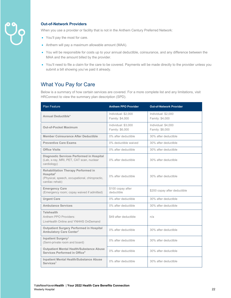

#### **Out-of-Network Providers**

When you use a provider or facility that is not in the Anthem Century Preferred Network:

- You'll pay the most for care.
- Anthem will pay a maximum allowable amount (MAA).
- You will be responsible for costs up to your annual deductible, coinsurance, and any difference between the MAA and the amount billed by the provider.
- You'll need to file a claim for the care to be covered. Payments will be made directly to the provider unless you submit a bill showing you've paid it already.

## What You Pay for Care

Below is a summary of how certain services are covered. For a more complete list and any limitations, visit HRConnect to view the summary plan description (SPD).

| <b>Plan Feature</b>                                                                                                                     | <b>Anthem PPO Provider</b>             | <b>Out-of-Network Provider</b>         |
|-----------------------------------------------------------------------------------------------------------------------------------------|----------------------------------------|----------------------------------------|
| <b>Annual Deductible*</b>                                                                                                               | Individual: \$2,000<br>Family: \$4,000 | Individual: \$2,000<br>Family: \$4,000 |
| <b>Out-of-Pocket Maximum</b>                                                                                                            | Individual: \$3,000<br>Family: \$6,000 | Individual: \$4,000<br>Family: \$8,000 |
| Member Coinsurance After Deductible                                                                                                     | 0% after deductible                    | 30% after deductible                   |
| <b>Preventive Care Exams</b>                                                                                                            | 0% deductible waived                   | 30% after deductible                   |
| <b>Office Visits</b>                                                                                                                    | 0% after deductible                    | 30% after deductible                   |
| Diagnostic Services Performed in Hospital<br>(Lab, x-ray, MRI, PET, CAT scan, nuclear<br>cardiology)                                    | 0% after deductible                    | 30% after deductible                   |
| <b>Rehabilitation Therapy Performed in</b><br>Hospital <sup>1</sup><br>(Physical, speech, occupational, chiropractic,<br>cardiac rehab) | 0% after deductible                    | 30% after deductible                   |
| <b>Emergency Care</b><br>(Emergency room; copay waived if admitted)                                                                     | \$100 copay after<br>deductible        | \$200 copay after deductible           |
| <b>Urgent Care</b>                                                                                                                      | 0% after deductible                    | 30% after deductible                   |
| <b>Ambulance Services</b>                                                                                                               | 0% after deductible                    | 30% after deductible                   |
| <b>Telehealth</b><br>Anthem PPO Providers:<br>LiveHealth Online and YNHHS OnDemand                                                      | \$49 after deductible                  | n/a                                    |
| <b>Outpatient Surgery Performed in Hospital</b><br>Ambulatory Care Center <sup>2</sup>                                                  | 0% after deductible                    | 30% after deductible                   |
| Inpatient Surgery <sup>3</sup><br>(Semi-private room and board)                                                                         | 0% after deductible                    | 30% after deductible                   |
| <b>Outpatient Mental Health/Substance Abuse</b><br>Services Performed in Office <sup>4</sup>                                            | 0% after deductible                    | 30% after deductible                   |
| <b>Inpatient Mental Health/Substance Abuse</b><br>$S$ ervices $5$                                                                       | 0% after deductible                    | 30% after deductible                   |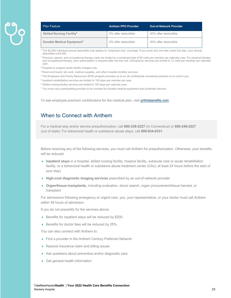| <b>Plan Feature</b>                         | <b>Anthem PPO Provider</b> | Out-of-Network Provider <sup>'</sup> |
|---------------------------------------------|----------------------------|--------------------------------------|
| <b>Skilled Nursing Facility<sup>6</sup></b> | 0% after deductible        | 30% after deductible                 |
| Durable Medical Equipment <sup>7</sup>      | 0% after deductible        | 30% after deductible                 |

The \$2,000 individual annual deductible only applies to "employee only" coverage. If you cover any one else under this plan, your annual deductible is \$4,000.

<sup>1</sup> Physical, speech, and occupational therapy visits are limited to a combined total of 60 visits per member per calendar year. For physical therapy and occupational therapy, prior authorization is required after the first visit. Chiropractic services are limited to 12 visits per member per calendar year.

- <sup>2</sup> Hospital or surgical center facility charges only.
- <sup>3</sup> Room and board, lab work, medical supplies, and other hospital ancillary services.
- <sup>4</sup> The Employee and Family Resources (EFR) program provides up to six (6) confidential counseling sessions at no cost to you.
- <sup>5</sup> Inpatient rehabilitative services are limited to 100 days per member per year.
- <sup>6</sup> Skilled nursing facility services are limited to 100 days per calendar year.
- $<sup>7</sup>$  You must use a participating provider to be covered for durable medical equipment and prosthetic devices.</sup>

To see employee premium contributions for the medical plan, visit ynhhsbenefits.com.

### When to Connect with Anthem

For a medical stay and/or service preauthorization, call **800-238-2227** (in Connecticut) or **800-248-2227** (out of state). For behavioral health or substance abuse stays, call **800-934-0331**.

Before receiving any of the following services, you must call Anthem for preauthorization. Otherwise, your benefits will be reduced.

- **Inpatient stays** in a hospital, skilled nursing facility, hospice facility, subacute care or acute rehabilitation facility, or a behavioral health or substance abuse treatment center (CALL at least 24 hours before the start of your stay)
- **High-cost diagnostic imaging services** prescribed by an out-of-network provider
- **Organ/tissue transplants,** including evaluation, donor search, organ procurement/tissue harvest, or transplant

For admissions following emergency or urgent care, you, your representative, or your doctor must call Anthem within 48 hours of admission.

If you do not precertify for the services above:

- Benefits for inpatient stays will be reduced by \$200.
- Benefits for doctor fees will be reduced by 25%.

You can also connect with Anthem to:

- Find a provider in the Anthem Century Preferred Network
- Resolve insurance claim and billing issues
- Ask questions about preventive and/or diagnostic care
- Get general health information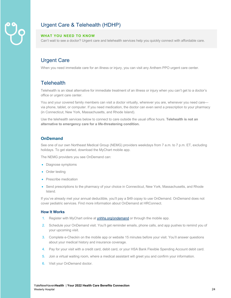# Urgent Care & Telehealth (HDHP)

#### **WHAT YOU NEED TO KNOW**

Can't wait to see a doctor? Urgent care and telehealth services help you quickly connect with affordable care.

# Urgent Care

When you need immediate care for an illness or injury, you can visit any Anthem PPO urgent care center.

# **Telehealth**

Telehealth is an ideal alternative for immediate treatment of an illness or injury when you can't get to a doctor's office or urgent care center.

You and your covered family members can visit a doctor virtually, wherever you are, whenever you need care via phone, tablet, or computer. If you need medication, the doctor can even send a prescription to your pharmacy (in Connecticut, New York, Massachusetts, and Rhode Island).

Use the telehealth services below to connect to care outside the usual office hours. **Telehealth is not an alternative to emergency care for a life-threatening condition.** 

#### **OnDemand**

See one of our own Northeast Medical Group (NEMG) providers weekdays from 7 a.m. to 7 p.m. ET, excluding holidays. To get started, download the MyChart mobile app.

The NEMG providers you see OnDemand can:

- Diagnose symptoms
- Order testing
- Prescribe medication
- Send prescriptions to the pharmacy of your choice in Connecticut, New York, Massachusetts, and Rhode Island.

If you've already met your annual deductible, you'll pay a \$49 copay to use OnDemand. OnDemand does not cover pediatric services. Find more information about OnDemand at HRConnect.

#### **How It Works**

- 1. Register with MyChart online at ynhhs.org/ondemand or through the mobile app.
- 2. Schedule your OnDemand visit. You'll get reminder emails, phone calls, and app pushes to remind you of your upcoming visit.
- 3. Complete e-Checkin on the mobile app or website 15 minutes before your visit. You'll answer questions about your medical history and insurance coverage.
- 4. Pay for your visit with a credit card, debit card, or your HSA Bank Flexible Spending Account debit card.
- 5. Join a virtual waiting room, where a medical assistant will greet you and confirm your information.
- 6. Visit your OnDemand doctor.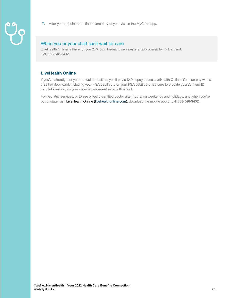- 
- 7. After your appointment, find a summary of your visit in the MyChart app.

### When you or your child can't wait for care

LiveHealth Online is there for you 24/7/365. Pediatric services are not covered by OnDemand. Call 888-548-3432.

#### **LiveHealth Online**

If you've already met your annual deductible, you'll pay a \$49 copay to use LiveHealth Online. You can pay with a credit or debit card, including your HSA debit card or your FSA debit card. Be sure to provide your Anthem ID card information, so your claim is processed as an office visit.

For pediatric services, or to see a board-certified doctor after hours, on weekends and holidays, and when you're out of state, visit LiveHealth Online (livehealthonline.com), download the mobile app or call **888-548-3432**.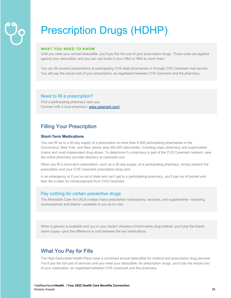# Prescription Drugs (HDHP)

#### **WHAT YOU NEED TO KNOW**

Until you meet your annual deductible, you'll pay the full cost of your prescription drugs. Those costs are applied against your deductible, and you can use funds in your HSA or HRA to cover them.

You can fill covered prescriptions at participating CVS retail pharmacies or through CVS Caremark mail service. You will pay the actual cost of your prescription, as negotiated between CVS Caremark and the pharmacy.

#### Need to fill a prescription?

Find a participating pharmacy near you. Connect with a local pharmacy: www.caremark.com/

## Filling Your Prescription

#### **Short-Term Medications**

You can fill up to a 30-day supply of a prescription at more than 5,000 participating pharmacies in the Connecticut, New York, and New Jersey area (64,000 nationwide), including major pharmacy and supermarket chains and most independent drug stores. To determine if a pharmacy is part of the CVS Caremark network, view the online pharmacy provider directory at caremark.com.

When you fill a short-term prescription, such as a 30-day supply, at a participating pharmacy, simply present the prescription and your CVS Caremark prescription drug card.

In an emergency or if you're out of state and can't get to a participating pharmacy, you'll pay out of pocket and then file a claim for reimbursement from CVS Caremark.

#### Pay nothing for certain preventive drugs

The Affordable Care Act (ACA) makes many prescription medications, vaccines, and supplements—including contraceptives and statins—available to you at no cost.

When a generic is available and you or your doctor chooses a brand-name drug instead, you'll pay the brandname copay—plus the difference in cost between the two medications.

## What You Pay for Fills

The High-Deductible Health Plans have a combined annual deductible for medical and prescription drug services. You'll pay the full cost of services until you meet your deductible; for prescription drugs, you'll pay the actual cost of your medication, as negotiated between CVS Caremark and the pharmacy.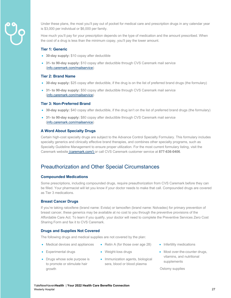

Under these plans, the most you'll pay out of pocket for medical care and prescription drugs in any calendar year is \$3,000 per individual or \$6,000 per family.

How much you'll pay for your prescription depends on the type of medication and the amount prescribed. When the cost of a drug is less than the minimum copay, you'll pay the lower amount.

#### **Tier 1: Generic**

- **30-day supply:** \$10 copay after deductible
- **31- to 90-day supply:** \$10 copay after deductible through CVS Caremark mail service (info.caremark.com/mailservice)

#### **Tier 2: Brand Name**

- **30-day supply:** \$25 copay after deductible, if the drug is on the list of preferred brand drugs (the formulary)
- **31- to 90-day supply:** \$50 copay after deductible through CVS Caremark mail service (info.caremark.com/mailservice)

#### **Tier 3: Non-Preferred Brand**

- **30-day supply:** \$40 copay after deductible, if the drug isn't on the list of preferred brand drugs (the formulary)
- **31- to 90-day supply:** \$80 copay after deductible through CVS Caremark mail service (info.caremark.com/mailservice)

#### **A Word About Specialty Drugs**

Certain high-cost specialty drugs are subject to the Advance Control Specialty Formulary. This formulary includes specialty generics and clinically effective brand therapies, and combines other specialty programs, such as Specialty Guideline Management to ensure proper utilization. For the most current formulary listing, visit the Caremark website (caremark.com/) or call CVS Caremark customer service at **877-636-0406**.

### Preauthorization and Other Special Circumstances

#### **Compounded Medications**

Some prescriptions, including compounded drugs, require preauthorization from CVS Caremark before they can be filled. Your pharmacist will let you know if your doctor needs to make that call. Compounded drugs are covered as Tier 3 medications.

#### **Breast Cancer Drugs**

If you're taking raloxifene (brand name: Evista) or tamoxifen (brand name: Nolvadex) for primary prevention of breast cancer, these generics may be available at no cost to you through the preventive provisions of the Affordable Care Act. To learn if you qualify, your doctor will need to complete the Preventive Services Zero Cost Sharing Form and fax it to CVS Caremark.

#### **Drugs and Supplies Not Covered**

The following drugs and medical supplies are not covered by the plan:

- Medical devices and appliances
- Weight-loss drugs
- Drugs whose sole purpose is to promote or stimulate hair growth

• Experimental drugs

• Immunization agents, biological sera, blood or blood plasma

• Retin A (for those over age 28)

- Infertility medications
- Most over-the-counter drugs, vitamins, and nutritional supplements

Ostomy supplies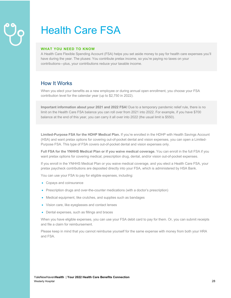# Health Care FSA

#### **WHAT YOU NEED TO KNOW**

A Health Care Flexible Spending Account (FSA) helps you set aside money to pay for health care expenses you'll have during the year. The pluses: You contribute pretax income, so you're paying no taxes on your contributions—plus, your contributions reduce your taxable income.

# How It Works

When you elect your benefits as a new employee or during annual open enrollment, you choose your FSA contribution level for the calendar year (up to \$2,750 in 2022).

**Important information about your 2021 and 2022 FSA!** Due to a temporary pandemic relief rule, there is no limit on the Health Care FSA balance you can roll over from 2021 into 2022. For example, if you have \$700 balance at the end of this year, you can carry it all over into 2022 (the usual limit is \$550).

**Limited-Purpose FSA for the HDHP Medical Plan.** If you're enrolled in the HDHP with Health Savings Account (HSA) and want pretax options for covering out-of-pocket dental and vision expenses, you can open a Limited-Purpose FSA. This type of FSA covers out-of-pocket dental and vision expenses only.

**Full FSA for the YNHHS Medical Plan or if you waive medical coverage.** You can enroll in the full FSA if you want pretax options for covering medical, prescription drug, dental, and/or vision out-of-pocket expenses.

If you enroll in the YNHHS Medical Plan or you waive medical coverage, and you elect a Health Care FSA, your pretax paycheck contributions are deposited directly into your FSA, which is administered by HSA Bank.

You can use your FSA to pay for eligible expenses, including:

- Copays and coinsurance
- Prescription drugs and over-the-counter medications (with a doctor's prescription)
- Medical equipment, like crutches, and supplies such as bandages
- Vision care, like eyeglasses and contact lenses
- Dental expenses, such as fillings and braces

When you have eligible expenses, you can use your FSA debit card to pay for them. Or, you can submit receipts and file a claim for reimbursement.

Please keep in mind that you cannot reimburse yourself for the same expense with money from both your HRA and FSA.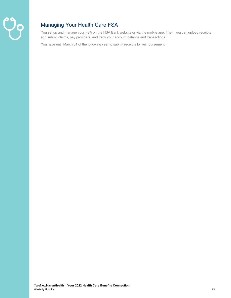

# Managing Your Health Care FSA

You set up and manage your FSA on the HSA Bank website or via the mobile app. Then, you can upload receipts and submit claims, pay providers, and track your account balance and transactions.

You have until March 31 of the following year to submit receipts for reimbursement.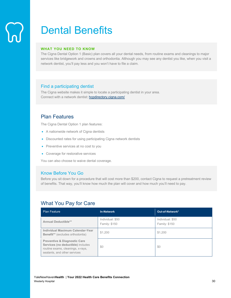# Dental Benefits

#### **WHAT YOU NEED TO KNOW**

The Cigna Dental Option 1 (Basic) plan covers all your dental needs, from routine exams and cleanings to major services like bridgework and crowns and orthodontia. Although you may see any dentist you like, when you visit a network dentist, you'll pay less and you won't have to file a claim.

### Find a participating dentist

The Cigna website makes it simple to locate a participating dentist in your area. Connect with a network dentist: hcpdirectory.cigna.com/

# Plan Features

The Cigna Dental Option 1 plan features:

- A nationwide network of Cigna dentists
- Discounted rates for using participating Cigna network dentists
- Preventive services at no cost to you
- Coverage for restorative services

You can also choose to waive dental coverage.

### Know Before You Go

Before you sit down for a procedure that will cost more than \$200, contact Cigna to request a pretreatment review of benefits. That way, you'll know how much the plan will cover and how much you'll need to pay.

## What You Pay for Care

| <b>Plan Feature</b>                                                                                                                               | <b>In-Network</b>                        | Out-of-Network*                          |
|---------------------------------------------------------------------------------------------------------------------------------------------------|------------------------------------------|------------------------------------------|
| <b>Annual Deductible**</b>                                                                                                                        | Individual: \$50<br><b>Family: \$150</b> | Individual: \$50<br><b>Family: \$150</b> |
| Individual Maximum Calendar-Year<br>Benefit** (excludes orthodontia)                                                                              | \$1,200                                  | \$1,200                                  |
| <b>Preventive &amp; Diagnostic Care</b><br>Services (no deductible) includes<br>routine exams, cleanings, x-rays,<br>sealants, and other services | \$0                                      | \$0                                      |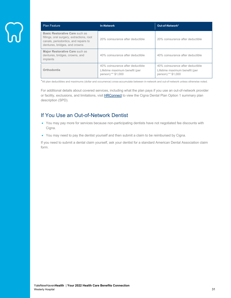| <b>Plan Feature</b>                                                                                                                                  | <b>In-Network</b>                                                                       | Out-of-Network*                                                                         |
|------------------------------------------------------------------------------------------------------------------------------------------------------|-----------------------------------------------------------------------------------------|-----------------------------------------------------------------------------------------|
| Basic Restorative Care such as<br>fillings, oral surgery, extractions, root<br>canals, periodontics, and repairs to<br>dentures, bridges, and crowns | 20% coinsurance after deductible                                                        | 20% coinsurance after deductible                                                        |
| Major Restorative Care such as<br>dentures, bridges, crowns, and<br>implants                                                                         | 40% coinsurance after deductible                                                        | 40% coinsurance after deductible                                                        |
| Orthodontia                                                                                                                                          | 40% coinsurance after deductible<br>Lifetime maximum benefit (per<br>person):** \$1,000 | 40% coinsurance after deductible<br>Lifetime maximum benefit (per<br>person):** \$1,000 |

\*All plan deductibles and maximums (dollar and occurrence) cross-accumulate between in-network and out-of-network unless otherwise noted.

For additional details about covered services, including what the plan pays if you use an out-of-network provider or facility, exclusions, and limitations, visit **HRConnect** to view the Cigna Dental Plan Option 1 summary plan description (SPD).

# If You Use an Out-of-Network Dentist

- You may pay more for services because non-participating dentists have not negotiated fee discounts with Cigna.
- You may need to pay the dentist yourself and then submit a claim to be reimbursed by Cigna.

If you need to submit a dental claim yourself, ask your dentist for a standard American Dental Association claim form.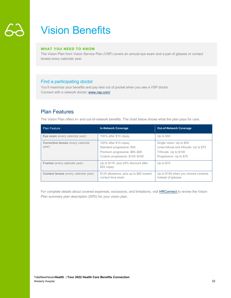# Vision Benefits

#### **WHAT YOU NEED TO KNOW**

The Vision Plan from Vision Service Plan (VSP) covers an annual eye exam and a pair of glasses or contact lenses every calendar year.

### Find a participating doctor

You'll maximize your benefits and pay less out of pocket when you see a VSP doctor. Connect with a network doctor: www.vsp.com/

# Plan Features

The Vision Plan offers in- and out-of-network benefits. The chart below shows what the plan pays for care.

| <b>Plan Feature</b>                         | <b>In-Network Coverage</b>                                                                                               | <b>Out-of-Network Coverage</b>                                                                                            |
|---------------------------------------------|--------------------------------------------------------------------------------------------------------------------------|---------------------------------------------------------------------------------------------------------------------------|
| Eye exam (every calendar year)              | 100% after \$10 copay                                                                                                    | Up to $$50$                                                                                                               |
| Corrective lenses (every calendar<br>year)  | 100% after \$10 copay<br>Standard progressive: \$50<br>Premium progressive: \$80-\$90<br>Custom progressive: \$120-\$160 | Single vision: Up to \$50<br>Lined bifocal and trifocals: Up to \$75<br>Trifocals: Up to \$100<br>Progressive: Up to \$75 |
| <b>Frames</b> (every calendar year)         | Up to \$170, plus 20% discount after<br>\$25 copay                                                                       | Up to $$70$                                                                                                               |
| <b>Contact lenses</b> (every calendar year) | \$125 allowance, plus up to \$60 toward<br>contact lens exam                                                             | Up to \$105 when you choose contacts<br>instead of glasses                                                                |

For complete details about covered expenses, exclusions, and limitations, visit **HRConnect** to review the Vision Plan summary plan description (SPD) for your vision plan.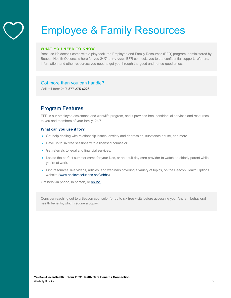# Employee & Family Resources

#### **WHAT YOU NEED TO KNOW**

Because life doesn't come with a playbook, the Employee and Family Resources (EFR) program, administered by Beacon Health Options, is here for you 24/7, at **no cost**. EFR connects you to the confidential support, referrals, information, and other resources you need to get you through the good and not-so-good times.

#### Got more than you can handle?

Call toll-free: 24/7 **877-275-6226**

# Program Features

EFR is our employee assistance and work/life program, and it provides free, confidential services and resources to you and members of your family, 24/7.

#### **What can you use it for?**

- Get help dealing with relationship issues, anxiety and depression, substance abuse, and more.
- Have up to six free sessions with a licensed counselor.
- Get referrals to legal and financial services.
- Locate the perfect summer camp for your kids, or an adult day care provider to watch an elderly parent while you're at work.
- Find resources, like videos, articles, and webinars covering a variety of topics, on the Beacon Health Options website (www.achievesolutions.net/ynhhs).

Get help via phone, in person, or **online**.

Consider reaching out to a Beacon counselor for up to six free visits before accessing your Anthem behavioral health benefits, which require a copay.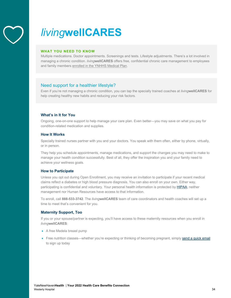

# *living***wellCARES**

#### **WHAT YOU NEED TO KNOW**

Multiple medications. Doctor appointments. Screenings and tests. Lifestyle adjustments. There's a lot involved in managing a chronic condition. *living***wellCARES** offers free, confidential chronic care management to employees and family members enrolled in the YNHHS Medical Plan.

#### Need support for a healthier lifestyle?

Even if you're not managing a chronic condition, you can tap the specially trained coaches at *living***wellCARES** for help creating healthy new habits and reducing your risk factors.

#### **What's in It for You**

Ongoing, one-on-one support to help manage your care plan. Even better—you may save on what you pay for condition-related medication and supplies.

#### **How It Works**

Specially trained nurses partner with you and your doctors. You speak with them often, either by phone, virtually, or in person.

They help you schedule appointments, manage medications, and support the changes you may need to make to manage your health condition successfully. Best of all, they offer the inspiration you and your family need to achieve your wellness goals.

#### **How to Participate**

Unless you opt out during Open Enrollment, you may receive an invitation to participate if your recent medical claims reflect a diabetes or high blood pressure diagnosis. You can also enroll on your own. Either way, participating is confidential and voluntary. Your personal health information is protected by HIPAA; neither management nor Human Resources have access to that information.

To enroll, call **888-533-3742**. The *living***wellCARES** team of care coordinators and health coaches will set up a time to meet that's convenient for you.

#### **Maternity Support, Too**

If you or your spouse/partner is expecting, you'll have access to these maternity resources when you enroll in *living***wellCARES**:

- A free Medela breast pump
- Free nutrition classes—whether you're expecting or thinking of becoming pregnant, simply send a quick email to sign up today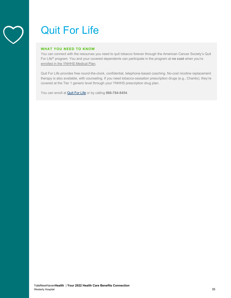# Quit For Life

#### **WHAT YOU NEED TO KNOW**

You can connect with the resources you need to quit tobacco forever through the American Cancer Society's Quit For Life® program. You and your covered dependents can participate in the program at **no cost** when you're enrolled in the YNHHS Medical Plan.

Quit For Life provides free round-the-clock, confidential, telephone-based coaching. No-cost nicotine replacement therapy is also available, with counseling. If you need tobacco-cessation prescription drugs (e.g., Chantix), they're covered at the Tier 1 generic level through your YNHHS prescription drug plan.

You can enroll at Quit For Life or by calling **866-784-8454**.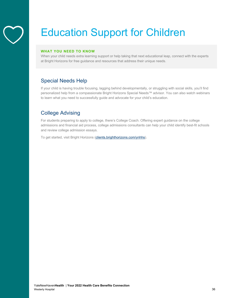

# Education Support for Children

#### **WHAT YOU NEED TO KNOW**

When your child needs extra learning support or help taking that next educational leap, connect with the experts at Bright Horizons for free guidance and resources that address their unique needs.

# Special Needs Help

If your child is having trouble focusing, lagging behind developmentally, or struggling with social skills, you'll find personalized help from a compassionate Bright Horizons Special Needs™ advisor. You can also watch webinars to learn what you need to successfully guide and advocate for your child's education.

# College Advising

For students preparing to apply to college, there's College Coach. Offering expert guidance on the college admissions and financial aid process, college admissions consultants can help your child identify best-fit schools and review college admission essays.

To get started, visit Bright Horizons (clients.brighthorizons.com/ynhhs).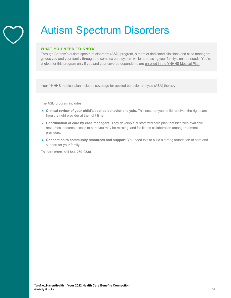# Autism Spectrum Disorders

#### **WHAT YOU NEED TO KNOW**

Through Anthem's autism spectrum disorders (ASD) program, a team of dedicated clinicians and case managers guides you and your family through the complex care system while addressing your family's unique needs. You're eligible for this program only if you and your covered dependents are enrolled in the YNHHS Medical Plan.

Your YNHHS medical plan includes coverage for applied behavior analysis (ABA) therapy.

The ASD program includes:

- **Clinical review of your child's applied behavior analysis.** This ensures your child receives the right care from the right provider at the right time.
- **Coordination of care by case managers.** They develop a customized care plan that identifies available resources, secures access to care you may be missing, and facilitates collaboration among treatment providers.
- **Connection to community resources and support.** You need this to build a strong foundation of care and support for your family.

To learn more, call **844-269-0538**.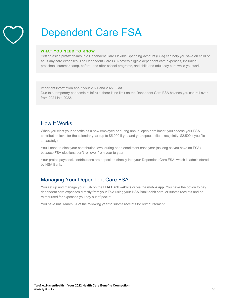# Dependent Care FSA

#### **WHAT YOU NEED TO KNOW**

Setting aside pretax dollars in a Dependent Care Flexible Spending Account (FSA) can help you save on child or adult day care expenses. The Dependent Care FSA covers eligible dependent care expenses, including preschool, summer camp, before- and after-school programs, and child and adult day care while you work.

Important information about your 2021 and 2022 FSA! Due to a temporary pandemic relief rule, there is no limit on the Dependent Care FSA balance you can roll over from 2021 into 2022.

# How It Works

When you elect your benefits as a new employee or during annual open enrollment, you choose your FSA contribution level for the calendar year (up to \$5,000 if you and your spouse file taxes jointly; \$2,500 if you file separately).

You'll need to elect your contribution level during open enrollment each year (as long as you have an FSA), because FSA elections don't roll over from year to year.

Your pretax paycheck contributions are deposited directly into your Dependent Care FSA, which is administered by HSA Bank.

# Managing Your Dependent Care FSA

You set up and manage your FSA on the HSA Bank website or via the mobile app. You have the option to pay dependent care expenses directly from your FSA using your HSA Bank debit card, or submit receipts and be reimbursed for expenses you pay out of pocket.

You have until March 31 of the following year to submit receipts for reimbursement.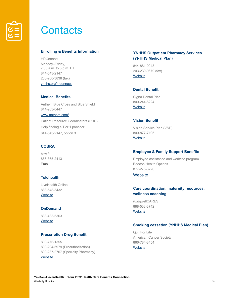

# **Contacts**

#### **Enrolling & Benefits Information**

**HRConnect** Monday–Friday, 7:30 a.m. to 5 p.m. ET 844-543-2147 203-200-3838 (fax) ynhhs.org/hrconnect

#### **Medical Benefits**

Anthem Blue Cross and Blue Shield 844-963-0447 www.anthem.com/ Patient Resource Coordinators (PRC) Help finding a Tier 1 provider 844-543-2147, option 3

#### **COBRA**

bswift 866-365-2413 Email

#### **Telehealth**

LiveHealth Online 888-548-3432 **Website** 

#### **OnDemand**

833-483-5363 **Website** 

#### **Prescription Drug Benefit**

800-776-1355 800-294-5979 (Preauthorization) 800-237-2767 (Specialty Pharmacy) **Website** 

#### **YNHHS Outpatient Pharmacy Services (YNHHS Medical Plan)**

844-881-0043 203-230-0679 (fax) **Website** 

#### **Dental Benefit**

Cigna Dental Plan 800-244-6224 **Website** 

#### **Vision Benefit**

Vision Service Plan (VSP) 800-877-7195 **Website** 

#### **Employee & Family Support Benefits**

Employee assistance and work/life program Beacon Health Options 877-275-6226

### **Website**

#### **Care coordination, maternity resources, wellness coaching**

*living*wellCARES 888-533-3742 **Website** 

#### **Smoking cessation (YNHHS Medical Plan)**

Quit For Life American Cancer Society 866-784-8454 **Website**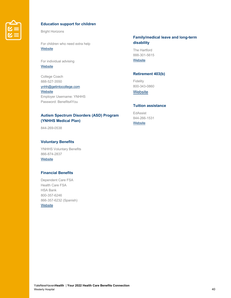

#### **Education support for children**

Bright Horizons

For children who need extra help **Website** 

For individual advising **Website** 

College Coach 888-527-3550

ynhh@getintocollege.com **Website** Employer Username: YNHHS Password: Benefits4You

### **Autism Spectrum Disorders (ASD) Program (YNHHS Medical Plan)**

844-269-0538

#### **Voluntary Benefits**

YNHHS Voluntary Benefits 866-874-2837 **Website** 

### **Financial Benefits**

Dependent Care FSA Health Care FSA HSA Bank 800-357-6246 866-357-6232 (Spanish) **Website** 

#### **Family/medical leave and long-term disability**

The Hartford 888-301-5615 **Website** 

#### **Retirement 403(b)**

Fidelity 800-343-0860

**Website** 

#### **Tuition assistance**

EdAssist 844-266-1531 **Website**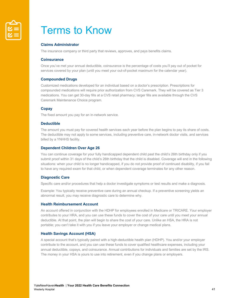

# Terms to Know

#### **Claims Administrator**

The insurance company or third party that reviews, approves, and pays benefits claims.

#### **Coinsurance**

Once you've met your annual deductible, coinsurance is the percentage of costs you'll pay out of pocket for services covered by your plan (until you meet your out-of-pocket maximum for the calendar year).

#### **Compounded Drugs**

Customized medications developed for an individual based on a doctor's prescription. Prescriptions for compounded medications will require prior authorization from CVS Caremark. They will be covered as Tier 3 medications. You can get 30-day fills at a CVS retail pharmacy; larger fills are available through the CVS Caremark Maintenance Choice program.

#### **Copay**

The fixed amount you pay for an in-network service.

#### **Deductible**

The amount you must pay for covered health services each year before the plan begins to pay its share of costs. The deductible may not apply to some services, including preventive care, in-network doctor visits, and services billed by a YNHHS facility.

#### **Dependent Children Over Age 26**

You can continue coverage for your fully handicapped dependent child past the child's 26th birthday only if you submit proof within 31 days of the child's 26th birthday that the child is disabled. Coverage will end in the following situations: when your child is no longer handicapped, if you do not provide proof of continued disability, if you fail to have any required exam for that child, or when dependent coverage terminates for any other reason.

#### **Diagnostic Care**

Specific care and/or procedures that help a doctor investigate symptoms or test results and make a diagnosis.

Example: You typically receive preventive care during an annual checkup. If a preventive screening yields an abnormal result, you may receive diagnostic care to determine why.

#### **Health Reimbursement Account**

An account offered in conjunction with the HDHP for employees enrolled in Medicare or TRICARE. Your employer contributes to your HRA, and you can use these funds to cover the cost of your care until you meet your annual deductible. At that point, the plan will begin to share the cost of your care. Unlike an HSA, the HRA is not portable; you can't take it with you if you leave your employer or change medical plans.

#### **Health Savings Account (HSA)**

A special account that's typically paired with a high-deductible health plan (HDHP). You and/or your employer contribute to the account, and you can use these funds to cover qualified healthcare expenses, including your annual deductible, copays, and coinsurance. Annual contributions for individuals and families are set by the IRS. The money in your HSA is yours to use into retirement, even if you change plans or employers.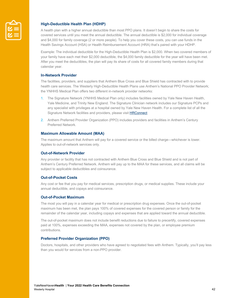

#### **High-Deductible Health Plan (HDHP)**

A health plan with a higher annual deductible than most PPO plans. It doesn't begin to share the costs for covered services until you meet the annual deductible. The annual deductible is \$2,000 for individual coverage and \$4,000 for family coverage (2 or more people). To help you cover these costs, you can use funds in the Health Savings Account (HSA) or Health Reimbursement Account (HRA) that's paired with your HDHP.

Example: The individual deductible for the High-Deductible Health Plan is \$2,000. When two covered members of your family have each met their \$2,000 deductible, the \$4,000 family deductible for the year will have been met. After you meet the deductibles, the plan will pay its share of costs for all covered family members during that calendar year.

#### **In-Network Provider**

The facilities, providers, and suppliers that Anthem Blue Cross and Blue Shield has contracted with to provide health care services. The Westerly High-Deductible Health Plans use Anthem's National PPO Provider Network; the YNHHS Medical Plan offers two different in-network provider networks:

- 1. The Signature Network (YNHHS Medical Plan only) includes facilities owned by Yale New Haven Health, Yale Medicine, and Trinity New England. The Signature Clinician network includes our Signature PCPs and any specialist with privileges at a hospital owned by Yale New Haven Health. For a complete list of all the Signature Network facilities and providers, please visit HRConnect
- 2. Anthem Preferred Provider Organization (PPO) includes providers and facilities in Anthem's Century Preferred Network.

#### **Maximum Allowable Amount (MAA)**

The maximum amount that Anthem will pay for a covered service or the billed charge—whichever is lower. Applies to out-of-network services only.

#### **Out-of-Network Provider**

Any provider or facility that has not contracted with Anthem Blue Cross and Blue Shield and is not part of Anthem's Century Preferred Network. Anthem will pay up to the MAA for these services, and all claims will be subject to applicable deductibles and coinsurance.

#### **Out-of-Pocket Costs**

Any cost or fee that you pay for medical services, prescription drugs, or medical supplies. These include your annual deductible, and copays and coinsurance.

#### **Out-of-Pocket Maximum**

The most you will pay in a calendar year for medical or prescription drug expenses. Once the out-of-pocket maximum has been met, the plan pays 100% of covered expenses for the covered person or family for the remainder of the calendar year, including copays and expenses that are applied toward the annual deductible.

The out-of-pocket maximum does not include benefit reductions due to failure to precertify, covered expenses paid at 100%, expenses exceeding the MAA, expenses not covered by the plan, or employee premium contributions.

#### **Preferred Provider Organization (PPO)**

Doctors, hospitals, and other providers who have agreed to negotiated fees with Anthem. Typically, you'll pay less than you would for services from a non-PPO provider.